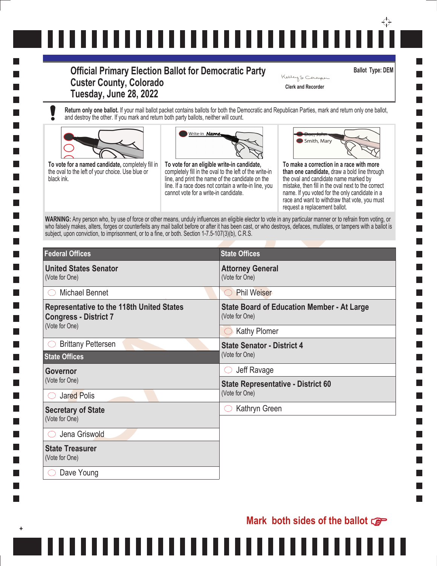# ↔ ,,,,,,,,,,,,,,,,,,,,,,,,,,

# **Official Primary Election Ballot for Democratic Party Custer County, Colorado Tuesday, June 28, 2022**

**Return only one ballot.** If your mail ballot packet contains ballots for both the Democratic and Republican Parties, mark and return only one ballot, and destroy the other. If you mark and return both party ballots, neither will count.







**Ballot Type: DEM**

**Clerk and Recorder**

Kelleys Comper

| To vote for a named candidate, completely fill in<br>the oval to the left of your choice. Use blue or<br>black ink.<br>WARNING: Any person who, by use of force or other means, unduly influences an eligible elector to vote in any particular manner or to refrain from voting, or<br>who falsely makes, alters, forges or counterfeits any mail ballot before or after it has been cast, or who destroys, defaces, mutilates, or tampers with a ballot is<br>subject, upon conviction, to imprisonment, or to a fine, or both. Section 1-7.5-107(3)(b), C.R.S. | Write-in Name,<br>To vote for an eligible write-in candidate,<br>cannot vote for a write-in candidate. | completely fill in the oval to the left of the write-in<br>line, and print the name of the candidate on the<br>line. If a race does not contain a write-in line, you | Smith, Mary<br>To make a correction in a race with more<br>than one candidate, draw a bold line through<br>the oval and candidate name marked by<br>mistake, then fill in the oval next to the correct<br>name. If you voted for the only candidate in a<br>race and want to withdraw that vote, you must<br>request a replacement ballot. |
|-------------------------------------------------------------------------------------------------------------------------------------------------------------------------------------------------------------------------------------------------------------------------------------------------------------------------------------------------------------------------------------------------------------------------------------------------------------------------------------------------------------------------------------------------------------------|--------------------------------------------------------------------------------------------------------|----------------------------------------------------------------------------------------------------------------------------------------------------------------------|--------------------------------------------------------------------------------------------------------------------------------------------------------------------------------------------------------------------------------------------------------------------------------------------------------------------------------------------|
| <b>Federal Offices</b>                                                                                                                                                                                                                                                                                                                                                                                                                                                                                                                                            |                                                                                                        | <b>State Offices</b>                                                                                                                                                 |                                                                                                                                                                                                                                                                                                                                            |
| <b>United States Senator</b><br>(Vote for One)                                                                                                                                                                                                                                                                                                                                                                                                                                                                                                                    |                                                                                                        | <b>Attorney General</b><br>(Vote for One)                                                                                                                            |                                                                                                                                                                                                                                                                                                                                            |
| <b>Michael Bennet</b>                                                                                                                                                                                                                                                                                                                                                                                                                                                                                                                                             |                                                                                                        | <b>Phil Weiser</b><br>$( \ )$                                                                                                                                        |                                                                                                                                                                                                                                                                                                                                            |
| <b>Representative to the 118th United States</b><br><b>Congress - District 7</b><br>(Vote for One)                                                                                                                                                                                                                                                                                                                                                                                                                                                                |                                                                                                        | <b>State Board of Education Member - At Large</b><br>(Vote for One)                                                                                                  |                                                                                                                                                                                                                                                                                                                                            |
|                                                                                                                                                                                                                                                                                                                                                                                                                                                                                                                                                                   |                                                                                                        | $\bigcirc$ Kathy Plomer                                                                                                                                              |                                                                                                                                                                                                                                                                                                                                            |
| <b>Brittany Pettersen</b><br><b>State Offices</b>                                                                                                                                                                                                                                                                                                                                                                                                                                                                                                                 |                                                                                                        | <b>State Senator - District 4</b><br>(Vote for One)                                                                                                                  |                                                                                                                                                                                                                                                                                                                                            |
| Governor<br>(Vote for One)<br><b>Jared Polis</b>                                                                                                                                                                                                                                                                                                                                                                                                                                                                                                                  |                                                                                                        | Jeff Ravage                                                                                                                                                          |                                                                                                                                                                                                                                                                                                                                            |
|                                                                                                                                                                                                                                                                                                                                                                                                                                                                                                                                                                   |                                                                                                        | <b>State Representative - District 60</b><br>(Vote for One)                                                                                                          |                                                                                                                                                                                                                                                                                                                                            |
| <b>Secretary of State</b><br>(Vote for One)                                                                                                                                                                                                                                                                                                                                                                                                                                                                                                                       |                                                                                                        | Kathryn Green                                                                                                                                                        |                                                                                                                                                                                                                                                                                                                                            |
| Jena Griswold                                                                                                                                                                                                                                                                                                                                                                                                                                                                                                                                                     |                                                                                                        |                                                                                                                                                                      |                                                                                                                                                                                                                                                                                                                                            |
| <b>State Treasurer</b>                                                                                                                                                                                                                                                                                                                                                                                                                                                                                                                                            |                                                                                                        |                                                                                                                                                                      |                                                                                                                                                                                                                                                                                                                                            |
| (Vote for One)                                                                                                                                                                                                                                                                                                                                                                                                                                                                                                                                                    |                                                                                                        |                                                                                                                                                                      |                                                                                                                                                                                                                                                                                                                                            |

H

L.